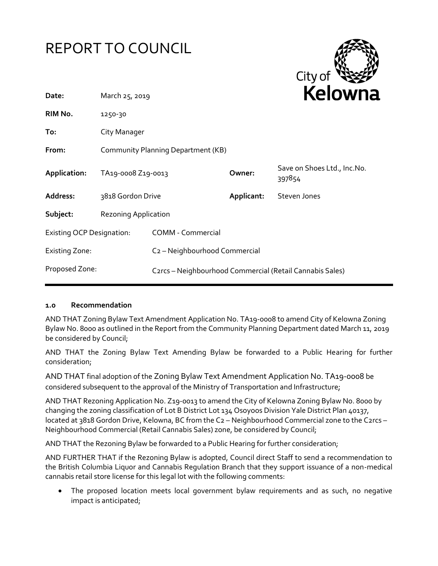



| Date:                            | March 25, 2019                     |                                                          |            | <b>NEIUWI</b> k                       |
|----------------------------------|------------------------------------|----------------------------------------------------------|------------|---------------------------------------|
| RIM No.                          | 1250-30                            |                                                          |            |                                       |
| To:                              | City Manager                       |                                                          |            |                                       |
| From:                            | Community Planning Department (KB) |                                                          |            |                                       |
| Application:                     | TA19-0008 Z19-0013                 |                                                          | Owner:     | Save on Shoes Ltd., Inc.No.<br>397854 |
| Address:                         | 3818 Gordon Drive                  |                                                          | Applicant: | Steven Jones                          |
| Subject:                         | <b>Rezoning Application</b>        |                                                          |            |                                       |
| <b>Existing OCP Designation:</b> |                                    | <b>COMM - Commercial</b>                                 |            |                                       |
| <b>Existing Zone:</b>            |                                    | C <sub>2</sub> - Neighbourhood Commercial                |            |                                       |
| Proposed Zone:                   |                                    | C2rcs - Neighbourhood Commercial (Retail Cannabis Sales) |            |                                       |
|                                  |                                    |                                                          |            |                                       |

#### **1.0 Recommendation**

AND THAT Zoning Bylaw Text Amendment Application No. TA19-0008 to amend City of Kelowna Zoning Bylaw No. 8000 as outlined in the Report from the Community Planning Department dated March 11, 2019 be considered by Council;

AND THAT the Zoning Bylaw Text Amending Bylaw be forwarded to a Public Hearing for further consideration;

AND THAT final adoption of the Zoning Bylaw Text Amendment Application No. TA19-0008 be considered subsequent to the approval of the Ministry of Transportation and Infrastructure;

AND THAT Rezoning Application No. Z19-0013 to amend the City of Kelowna Zoning Bylaw No. 8000 by changing the zoning classification of Lot B District Lot 134 Osoyoos Division Yale District Plan 40137, located at 3818 Gordon Drive, Kelowna, BC from the C2 - Neighbourhood Commercial zone to the C2rcs -Neighbourhood Commercial (Retail Cannabis Sales) zone, be considered by Council;

AND THAT the Rezoning Bylaw be forwarded to a Public Hearing for further consideration;

AND FURTHER THAT if the Rezoning Bylaw is adopted, Council direct Staff to send a recommendation to the British Columbia Liquor and Cannabis Regulation Branch that they support issuance of a non-medical cannabis retail store license for this legal lot with the following comments:

 The proposed location meets local government bylaw requirements and as such, no negative impact is anticipated;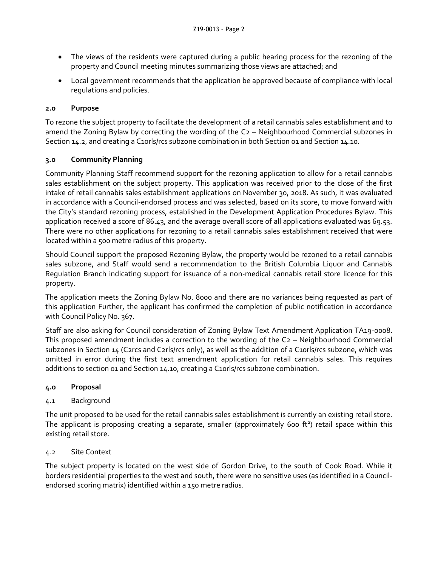- The views of the residents were captured during a public hearing process for the rezoning of the property and Council meeting minutes summarizing those views are attached; and
- Local government recommends that the application be approved because of compliance with local regulations and policies.

### **2.0 Purpose**

To rezone the subject property to facilitate the development of a retail cannabis sales establishment and to amend the Zoning Bylaw by correcting the wording of the C2 – Neighbourhood Commercial subzones in Section 14.2, and creating a C10rls/rcs subzone combination in both Section 01 and Section 14.10.

### **3.0 Community Planning**

Community Planning Staff recommend support for the rezoning application to allow for a retail cannabis sales establishment on the subject property. This application was received prior to the close of the first intake of retail cannabis sales establishment applications on November 30, 2018. As such, it was evaluated in accordance with a Council-endorsed process and was selected, based on its score, to move forward with the City's standard rezoning process, established in the Development Application Procedures Bylaw. This application received a score of 86.43, and the average overall score of all applications evaluated was 69.53. There were no other applications for rezoning to a retail cannabis sales establishment received that were located within a 500 metre radius of this property.

Should Council support the proposed Rezoning Bylaw, the property would be rezoned to a retail cannabis sales subzone, and Staff would send a recommendation to the British Columbia Liquor and Cannabis Regulation Branch indicating support for issuance of a non-medical cannabis retail store licence for this property.

The application meets the Zoning Bylaw No. 8000 and there are no variances being requested as part of this application Further, the applicant has confirmed the completion of public notification in accordance with Council Policy No. 367.

Staff are also asking for Council consideration of Zoning Bylaw Text Amendment Application TA19-0008. This proposed amendment includes a correction to the wording of the C2 – Neighbourhood Commercial subzones in Section 14 (C2rcs and C2rls/rcs only), as well as the addition of a C10rls/rcs subzone, which was omitted in error during the first text amendment application for retail cannabis sales. This requires additions to section 01 and Section 14.10, creating a C10rls/rcs subzone combination.

### **4.0 Proposal**

## 4.1 Background

The unit proposed to be used for the retail cannabis sales establishment is currently an existing retail store. The applicant is proposing creating a separate, smaller (approximately 600 ft<sup>2</sup>) retail space within this existing retail store.

### 4.2 Site Context

The subject property is located on the west side of Gordon Drive, to the south of Cook Road. While it borders residential properties to the west and south, there were no sensitive uses (as identified in a Councilendorsed scoring matrix) identified within a 150 metre radius.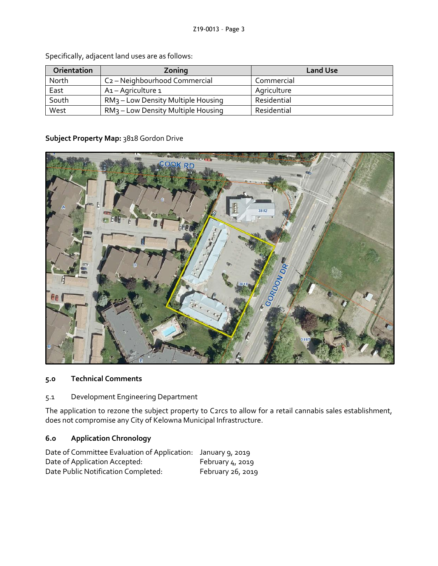| Orientation | Zoning                                         | <b>Land Use</b> |
|-------------|------------------------------------------------|-----------------|
| North       | C <sub>2</sub> - Neighbourhood Commercial      | Commercial      |
| East        | A1 – Agriculture 1                             | Agriculture     |
| South       | RM <sub>3</sub> – Low Density Multiple Housing | Residential     |
| West        | RM <sub>3</sub> – Low Density Multiple Housing | Residential     |

Specifically, adjacent land uses are as follows:

### **Subject Property Map:** 3818 Gordon Drive



### **5.0 Technical Comments**

5.1 Development Engineering Department

The application to rezone the subject property to C2rcs to allow for a retail cannabis sales establishment, does not compromise any City of Kelowna Municipal Infrastructure.

# **6.0 Application Chronology**

| Date of Committee Evaluation of Application: January 9, 2019 |                    |
|--------------------------------------------------------------|--------------------|
| Date of Application Accepted:                                | February $4, 2019$ |
| Date Public Notification Completed:                          | February 26, 2019  |